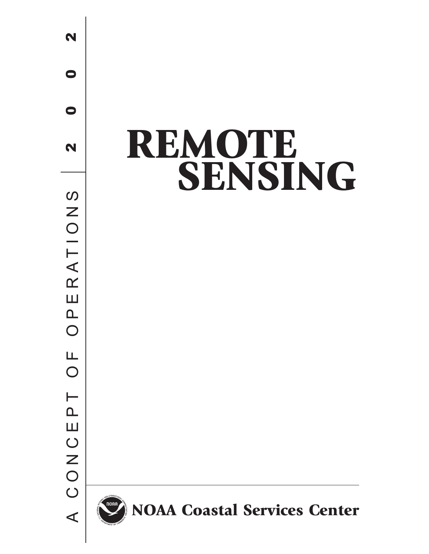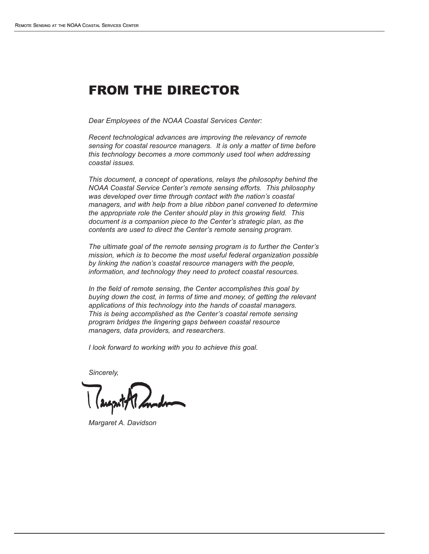## FROM THE DIRECTOR

*Dear Employees of the NOAA Coastal Services Center:*

*Recent technological advances are improving the relevancy of remote sensing for coastal resource managers. It is only a matter of time before this technology becomes a more commonly used tool when addressing coastal issues.*

*This document, a concept of operations, relays the philosophy behind the NOAA Coastal Service Center's remote sensing efforts. This philosophy was developed over time through contact with the nation's coastal managers, and with help from a blue ribbon panel convened to determine the appropriate role the Center should play in this growing field. This document is a companion piece to the Center's strategic plan, as the contents are used to direct the Center's remote sensing program.*

*The ultimate goal of the remote sensing program is to further the Center's mission, which is to become the most useful federal organization possible by linking the nation's coastal resource managers with the people, information, and technology they need to protect coastal resources.*

*In the field of remote sensing, the Center accomplishes this goal by buying down the cost, in terms of time and money, of getting the relevant applications of this technology into the hands of coastal managers. This is being accomplished as the Center's coastal remote sensing program bridges the lingering gaps between coastal resource managers, data providers, and researchers.*

*I look forward to working with you to achieve this goal.*

*Sincerely,*

*Margaret A. Davidson*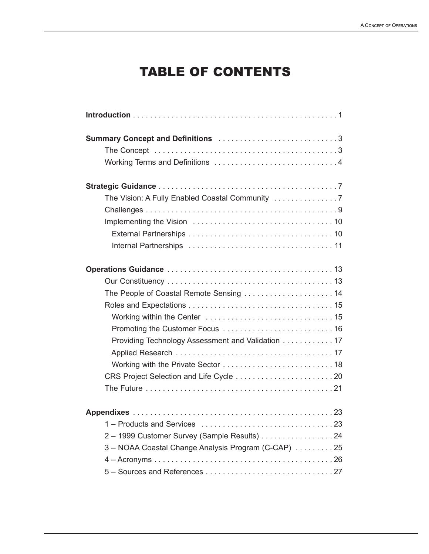# TABLE OF CONTENTS

| The People of Coastal Remote Sensing  14            |
|-----------------------------------------------------|
|                                                     |
|                                                     |
|                                                     |
| Providing Technology Assessment and Validation 17   |
|                                                     |
|                                                     |
|                                                     |
|                                                     |
|                                                     |
|                                                     |
| 2 - 1999 Customer Survey (Sample Results)  24       |
| 3 - NOAA Coastal Change Analysis Program (C-CAP) 25 |
|                                                     |
|                                                     |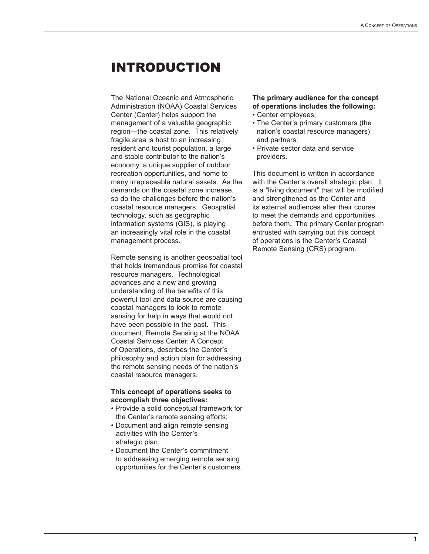## INTRODUCTION

The National Oceanic and Atmospheric Administration (NOAA) Coastal Services Center (Center) helps support the management of a valuable geographic region—the coastal zone. This relatively fragile area is host to an increasing resident and tourist population, a large and stable contributor to the nation's economy, a unique supplier of outdoor recreation opportunities, and home to many irreplaceable natural assets. As the demands on the coastal zone increase, so do the challenges before the nation's coastal resource managers. Geospatial technology, such as geographic information systems (GIS), is playing an increasingly vital role in the coastal management process.

Remote sensing is another geospatial tool that holds tremendous promise for coastal resource managers. Technological advances and a new and growing understanding of the benefits of this powerful tool and data source are causing coastal managers to look to remote sensing for help in ways that would not have been possible in the past. This document, Remote Sensing at the NOAA Coastal Services Center: A Concept of Operations, describes the Center's philosophy and action plan for addressing the remote sensing needs of the nation's coastal resource managers.

#### **This concept of operations seeks to accomplish three objectives:**

- Provide a solid conceptual framework for the Center's remote sensing efforts;
- Document and align remote sensing activities with the Center's strategic plan;
- Document the Center's commitment to addressing emerging remote sensing opportunities for the Center's customers.

#### **The primary audience for the concept of operations includes the following:**

- Center employees;
- The Center's primary customers (the nation's coastal resource managers) and partners;
- Private sector data and service providers.

This document is written in accordance with the Center's overall strategic plan. It is a "living document" that will be modified and strengthened as the Center and its external audiences alter their course to meet the demands and opportunities before them. The primary Center program entrusted with carrying out this concept of operations is the Center's Coastal Remote Sensing (CRS) program.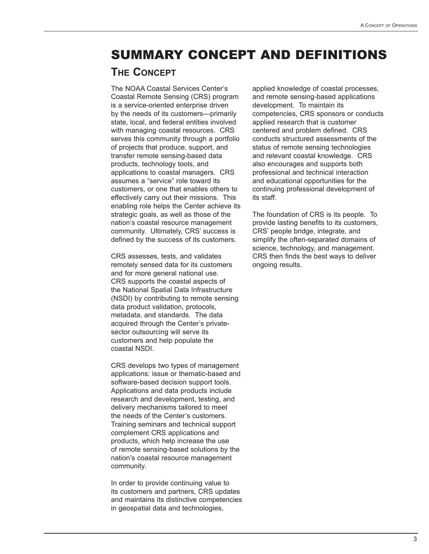## SUMMARY CONCEPT AND DEFINITIONS

### **THE CONCEPT**

The NOAA Coastal Services Center's Coastal Remote Sensing (CRS) program is a service-oriented enterprise driven by the needs of its customers—primarily state, local, and federal entities involved with managing coastal resources. CRS serves this community through a portfolio of projects that produce, support, and transfer remote sensing-based data products, technology tools, and applications to coastal managers. CRS assumes a "service" role toward its customers, or one that enables others to effectively carry out their missions. This enabling role helps the Center achieve its strategic goals, as well as those of the nation's coastal resource management community. Ultimately, CRS' success is defined by the success of its customers.

CRS assesses, tests, and validates remotely sensed data for its customers and for more general national use. CRS supports the coastal aspects of the National Spatial Data Infrastructure (NSDI) by contributing to remote sensing data product validation, protocols, metadata, and standards. The data acquired through the Center's privatesector outsourcing will serve its customers and help populate the coastal NSDI.

CRS develops two types of management applications: issue or thematic-based and software-based decision support tools. Applications and data products include research and development, testing, and delivery mechanisms tailored to meet the needs of the Center's customers. Training seminars and technical support complement CRS applications and products, which help increase the use of remote sensing-based solutions by the nation's coastal resource management community.

In order to provide continuing value to its customers and partners, CRS updates and maintains its distinctive competencies in geospatial data and technologies,

applied knowledge of coastal processes, and remote sensing-based applications development. To maintain its competencies, CRS sponsors or conducts applied research that is customer centered and problem defined. CRS conducts structured assessments of the status of remote sensing technologies and relevant coastal knowledge. CRS also encourages and supports both professional and technical interaction and educational opportunities for the continuing professional development of its staff.

The foundation of CRS is its people. To provide lasting benefits to its customers, CRS' people bridge, integrate, and simplify the often-separated domains of science, technology, and management. CRS then finds the best ways to deliver ongoing results.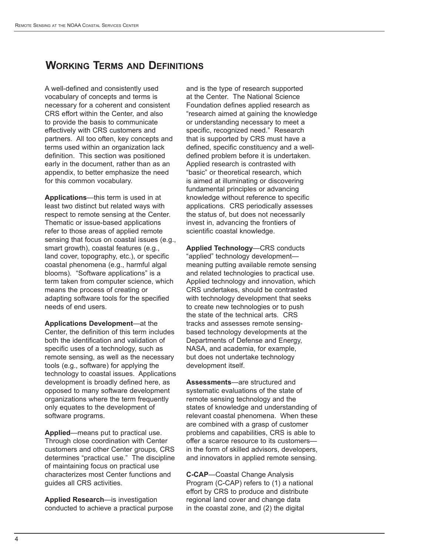## **WORKING TERMS AND DEFINITIONS**

A well-defined and consistently used vocabulary of concepts and terms is necessary for a coherent and consistent CRS effort within the Center, and also to provide the basis to communicate effectively with CRS customers and partners. All too often, key concepts and terms used within an organization lack definition. This section was positioned early in the document, rather than as an appendix, to better emphasize the need for this common vocabulary.

**Applications**—this term is used in at least two distinct but related ways with respect to remote sensing at the Center. Thematic or issue-based applications refer to those areas of applied remote sensing that focus on coastal issues (e.g., smart growth), coastal features (e.g., land cover, topography, etc.), or specific coastal phenomena (e.g., harmful algal blooms). "Software applications" is a term taken from computer science, which means the process of creating or adapting software tools for the specified needs of end users.

**Applications Development**—at the Center, the definition of this term includes both the identification and validation of specific uses of a technology, such as remote sensing, as well as the necessary tools (e.g., software) for applying the technology to coastal issues. Applications development is broadly defined here, as opposed to many software development organizations where the term frequently only equates to the development of software programs.

**Applied**—means put to practical use. Through close coordination with Center customers and other Center groups, CRS determines "practical use." The discipline of maintaining focus on practical use characterizes most Center functions and guides all CRS activities.

**Applied Research**—is investigation conducted to achieve a practical purpose and is the type of research supported at the Center. The National Science Foundation defines applied research as "research aimed at gaining the knowledge or understanding necessary to meet a specific, recognized need." Research that is supported by CRS must have a defined, specific constituency and a welldefined problem before it is undertaken. Applied research is contrasted with "basic" or theoretical research, which is aimed at illuminating or discovering fundamental principles or advancing knowledge without reference to specific applications. CRS periodically assesses the status of, but does not necessarily invest in, advancing the frontiers of scientific coastal knowledge.

**Applied Technology**—CRS conducts "applied" technology development meaning putting available remote sensing and related technologies to practical use. Applied technology and innovation, which CRS undertakes, should be contrasted with technology development that seeks to create new technologies or to push the state of the technical arts. CRS tracks and assesses remote sensingbased technology developments at the Departments of Defense and Energy, NASA, and academia, for example, but does not undertake technology development itself.

**Assessments**—are structured and systematic evaluations of the state of remote sensing technology and the states of knowledge and understanding of relevant coastal phenomena. When these are combined with a grasp of customer problems and capabilities, CRS is able to offer a scarce resource to its customers in the form of skilled advisors, developers, and innovators in applied remote sensing.

**C-CAP**—Coastal Change Analysis Program (C-CAP) refers to (1) a national effort by CRS to produce and distribute regional land cover and change data in the coastal zone, and (2) the digital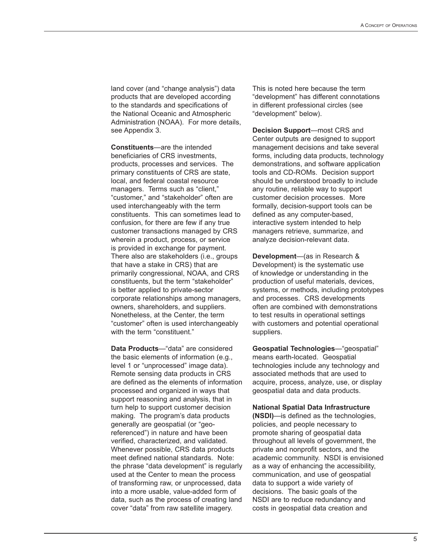land cover (and "change analysis") data products that are developed according to the standards and specifications of the National Oceanic and Atmospheric Administration (NOAA). For more details, see Appendix 3.

**Constituents**—are the intended beneficiaries of CRS investments, products, processes and services. The primary constituents of CRS are state, local, and federal coastal resource managers. Terms such as "client," "customer," and "stakeholder" often are used interchangeably with the term constituents. This can sometimes lead to confusion, for there are few if any true customer transactions managed by CRS wherein a product, process, or service is provided in exchange for payment. There also are stakeholders (i.e., groups that have a stake in CRS) that are primarily congressional, NOAA, and CRS constituents, but the term "stakeholder" is better applied to private-sector corporate relationships among managers, owners, shareholders, and suppliers. Nonetheless, at the Center, the term "customer" often is used interchangeably with the term "constituent."

**Data Products**—"data" are considered the basic elements of information (e.g., level 1 or "unprocessed" image data). Remote sensing data products in CRS are defined as the elements of information processed and organized in ways that support reasoning and analysis, that in turn help to support customer decision making. The program's data products generally are geospatial (or "georeferenced") in nature and have been verified, characterized, and validated. Whenever possible, CRS data products meet defined national standards. Note: the phrase "data development" is regularly used at the Center to mean the process of transforming raw, or unprocessed, data into a more usable, value-added form of data, such as the process of creating land cover "data" from raw satellite imagery.

This is noted here because the term "development" has different connotations in different professional circles (see "development" below).

**Decision Support**—most CRS and Center outputs are designed to support management decisions and take several forms, including data products, technology demonstrations, and software application tools and CD-ROMs. Decision support should be understood broadly to include any routine, reliable way to support customer decision processes. More formally, decision-support tools can be defined as any computer-based, interactive system intended to help managers retrieve, summarize, and analyze decision-relevant data.

**Development**—(as in Research & Development) is the systematic use of knowledge or understanding in the production of useful materials, devices, systems, or methods, including prototypes and processes. CRS developments often are combined with demonstrations to test results in operational settings with customers and potential operational suppliers.

**Geospatial Technologies**—"geospatial" means earth-located. Geospatial technologies include any technology and associated methods that are used to acquire, process, analyze, use, or display geospatial data and data products.

**National Spatial Data Infrastructure** 

**(NSDI)**—is defined as the technologies, policies, and people necessary to promote sharing of geospatial data throughout all levels of government, the private and nonprofit sectors, and the academic community. NSDI is envisioned as a way of enhancing the accessibility, communication, and use of geospatial data to support a wide variety of decisions. The basic goals of the NSDI are to reduce redundancy and costs in geospatial data creation and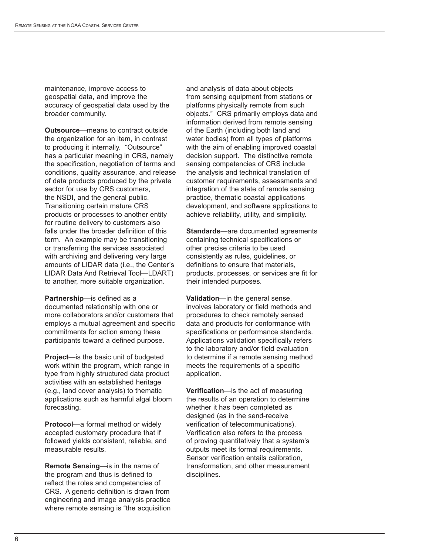maintenance, improve access to geospatial data, and improve the accuracy of geospatial data used by the broader community.

**Outsource**—means to contract outside the organization for an item, in contrast to producing it internally. "Outsource" has a particular meaning in CRS, namely the specification, negotiation of terms and conditions, quality assurance, and release of data products produced by the private sector for use by CRS customers, the NSDI, and the general public. Transitioning certain mature CRS products or processes to another entity for routine delivery to customers also falls under the broader definition of this term. An example may be transitioning or transferring the services associated with archiving and delivering very large amounts of LIDAR data (i.e., the Center's LIDAR Data And Retrieval Tool—LDART) to another, more suitable organization.

**Partnership**—is defined as a documented relationship with one or more collaborators and/or customers that employs a mutual agreement and specific commitments for action among these participants toward a defined purpose.

**Project**—is the basic unit of budgeted work within the program, which range in type from highly structured data product activities with an established heritage (e.g., land cover analysis) to thematic applications such as harmful algal bloom forecasting.

**Protocol**—a formal method or widely accepted customary procedure that if followed yields consistent, reliable, and measurable results.

**Remote Sensing**—is in the name of the program and thus is defined to reflect the roles and competencies of CRS. A generic definition is drawn from engineering and image analysis practice where remote sensing is "the acquisition and analysis of data about objects from sensing equipment from stations or platforms physically remote from such objects." CRS primarily employs data and information derived from remote sensing of the Earth (including both land and water bodies) from all types of platforms with the aim of enabling improved coastal decision support. The distinctive remote sensing competencies of CRS include the analysis and technical translation of customer requirements, assessments and integration of the state of remote sensing practice, thematic coastal applications development, and software applications to achieve reliability, utility, and simplicity.

**Standards**—are documented agreements containing technical specifications or other precise criteria to be used consistently as rules, guidelines, or definitions to ensure that materials, products, processes, or services are fit for their intended purposes.

**Validation**—in the general sense, involves laboratory or field methods and procedures to check remotely sensed data and products for conformance with specifications or performance standards. Applications validation specifically refers to the laboratory and/or field evaluation to determine if a remote sensing method meets the requirements of a specific application.

**Verification**—is the act of measuring the results of an operation to determine whether it has been completed as designed (as in the send-receive verification of telecommunications). Verification also refers to the process of proving quantitatively that a system's outputs meet its formal requirements. Sensor verification entails calibration, transformation, and other measurement disciplines.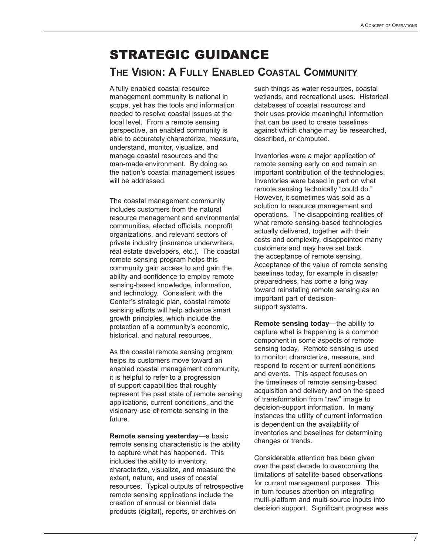## STRATEGIC GUIDANCE **THE VISION: A FULLY ENABLED COASTAL COMMUNITY**

A fully enabled coastal resource management community is national in scope, yet has the tools and information needed to resolve coastal issues at the local level. From a remote sensing perspective, an enabled community is able to accurately characterize, measure, understand, monitor, visualize, and manage coastal resources and the man-made environment. By doing so, the nation's coastal management issues will be addressed.

The coastal management community includes customers from the natural resource management and environmental communities, elected officials, nonprofit organizations, and relevant sectors of private industry (insurance underwriters, real estate developers, etc.). The coastal remote sensing program helps this community gain access to and gain the ability and confidence to employ remote sensing-based knowledge, information, and technology. Consistent with the Center's strategic plan, coastal remote sensing efforts will help advance smart growth principles, which include the protection of a community's economic, historical, and natural resources.

As the coastal remote sensing program helps its customers move toward an enabled coastal management community, it is helpful to refer to a progression of support capabilities that roughly represent the past state of remote sensing applications, current conditions, and the visionary use of remote sensing in the future.

**Remote sensing yesterday**—a basic remote sensing characteristic is the ability to capture what has happened. This includes the ability to inventory, characterize, visualize, and measure the extent, nature, and uses of coastal resources. Typical outputs of retrospective remote sensing applications include the creation of annual or biennial data products (digital), reports, or archives on

such things as water resources, coastal wetlands, and recreational uses. Historical databases of coastal resources and their uses provide meaningful information that can be used to create baselines against which change may be researched, described, or computed.

Inventories were a major application of remote sensing early on and remain an important contribution of the technologies. Inventories were based in part on what remote sensing technically "could do." However, it sometimes was sold as a solution to resource management and operations. The disappointing realities of what remote sensing-based technologies actually delivered, together with their costs and complexity, disappointed many customers and may have set back the acceptance of remote sensing. Acceptance of the value of remote sensing baselines today, for example in disaster preparedness, has come a long way toward reinstating remote sensing as an important part of decisionsupport systems.

**Remote sensing today**—the ability to capture what is happening is a common component in some aspects of remote sensing today. Remote sensing is used to monitor, characterize, measure, and respond to recent or current conditions and events. This aspect focuses on the timeliness of remote sensing-based acquisition and delivery and on the speed of transformation from "raw" image to decision-support information. In many instances the utility of current information is dependent on the availability of inventories and baselines for determining changes or trends.

Considerable attention has been given over the past decade to overcoming the limitations of satellite-based observations for current management purposes. This in turn focuses attention on integrating multi-platform and multi-source inputs into decision support. Significant progress was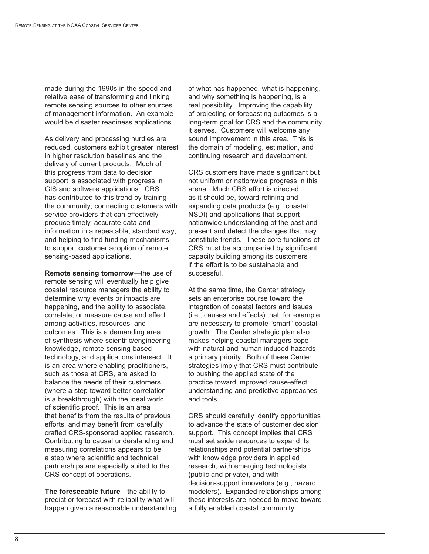made during the 1990s in the speed and relative ease of transforming and linking remote sensing sources to other sources of management information. An example would be disaster readiness applications.

As delivery and processing hurdles are reduced, customers exhibit greater interest in higher resolution baselines and the delivery of current products. Much of this progress from data to decision support is associated with progress in GIS and software applications. CRS has contributed to this trend by training the community; connecting customers with service providers that can effectively produce timely, accurate data and information in a repeatable, standard way; and helping to find funding mechanisms to support customer adoption of remote sensing-based applications.

**Remote sensing tomorrow**—the use of remote sensing will eventually help give coastal resource managers the ability to determine why events or impacts are happening, and the ability to associate, correlate, or measure cause and effect among activities, resources, and outcomes. This is a demanding area of synthesis where scientific/engineering knowledge, remote sensing-based technology, and applications intersect. It is an area where enabling practitioners, such as those at CRS, are asked to balance the needs of their customers (where a step toward better correlation is a breakthrough) with the ideal world of scientific proof. This is an area that benefits from the results of previous efforts, and may benefit from carefully crafted CRS-sponsored applied research. Contributing to causal understanding and measuring correlations appears to be a step where scientific and technical partnerships are especially suited to the CRS concept of operations.

**The foreseeable future**—the ability to predict or forecast with reliability what will happen given a reasonable understanding of what has happened, what is happening, and why something is happening, is a real possibility. Improving the capability of projecting or forecasting outcomes is a long-term goal for CRS and the community it serves. Customers will welcome any sound improvement in this area. This is the domain of modeling, estimation, and continuing research and development.

CRS customers have made significant but not uniform or nationwide progress in this arena. Much CRS effort is directed, as it should be, toward refining and expanding data products (e.g., coastal NSDI) and applications that support nationwide understanding of the past and present and detect the changes that may constitute trends. These core functions of CRS must be accompanied by significant capacity building among its customers if the effort is to be sustainable and successful.

At the same time, the Center strategy sets an enterprise course toward the integration of coastal factors and issues (i.e., causes and effects) that, for example, are necessary to promote "smart" coastal growth. The Center strategic plan also makes helping coastal managers cope with natural and human-induced hazards a primary priority. Both of these Center strategies imply that CRS must contribute to pushing the applied state of the practice toward improved cause-effect understanding and predictive approaches and tools.

CRS should carefully identify opportunities to advance the state of customer decision support. This concept implies that CRS must set aside resources to expand its relationships and potential partnerships with knowledge providers in applied research, with emerging technologists (public and private), and with decision-support innovators (e.g., hazard modelers). Expanded relationships among these interests are needed to move toward a fully enabled coastal community.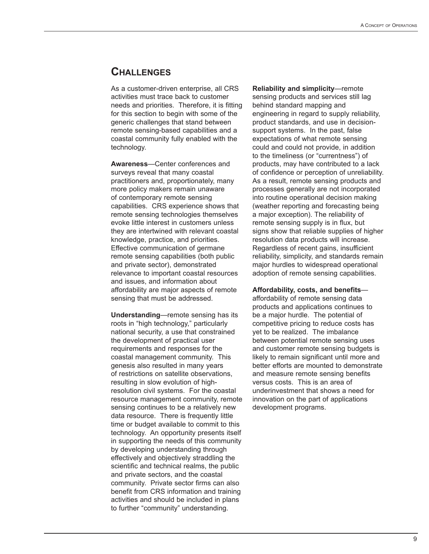### **CHALLENGES**

As a customer-driven enterprise, all CRS activities must trace back to customer needs and priorities. Therefore, it is fitting for this section to begin with some of the generic challenges that stand between remote sensing-based capabilities and a coastal community fully enabled with the technology.

**Awareness**—Center conferences and surveys reveal that many coastal practitioners and, proportionately, many more policy makers remain unaware of contemporary remote sensing capabilities. CRS experience shows that remote sensing technologies themselves evoke little interest in customers unless they are intertwined with relevant coastal knowledge, practice, and priorities. Effective communication of germane remote sensing capabilities (both public and private sector), demonstrated relevance to important coastal resources and issues, and information about affordability are major aspects of remote sensing that must be addressed.

**Understanding**—remote sensing has its roots in "high technology," particularly national security, a use that constrained the development of practical user requirements and responses for the coastal management community. This genesis also resulted in many years of restrictions on satellite observations, resulting in slow evolution of highresolution civil systems. For the coastal resource management community, remote sensing continues to be a relatively new data resource. There is frequently little time or budget available to commit to this technology. An opportunity presents itself in supporting the needs of this community by developing understanding through effectively and objectively straddling the scientific and technical realms, the public and private sectors, and the coastal community. Private sector firms can also benefit from CRS information and training activities and should be included in plans to further "community" understanding.

**Reliability and simplicity**—remote sensing products and services still lag behind standard mapping and engineering in regard to supply reliability, product standards, and use in decisionsupport systems. In the past, false expectations of what remote sensing could and could not provide, in addition to the timeliness (or "currentness") of products, may have contributed to a lack of confidence or perception of unreliability. As a result, remote sensing products and processes generally are not incorporated into routine operational decision making (weather reporting and forecasting being a major exception). The reliability of remote sensing supply is in flux, but signs show that reliable supplies of higher resolution data products will increase. Regardless of recent gains, insufficient reliability, simplicity, and standards remain major hurdles to widespread operational adoption of remote sensing capabilities.

#### **Affordability, costs, and benefits**—

affordability of remote sensing data products and applications continues to be a major hurdle. The potential of competitive pricing to reduce costs has yet to be realized. The imbalance between potential remote sensing uses and customer remote sensing budgets is likely to remain significant until more and better efforts are mounted to demonstrate and measure remote sensing benefits versus costs. This is an area of underinvestment that shows a need for innovation on the part of applications development programs.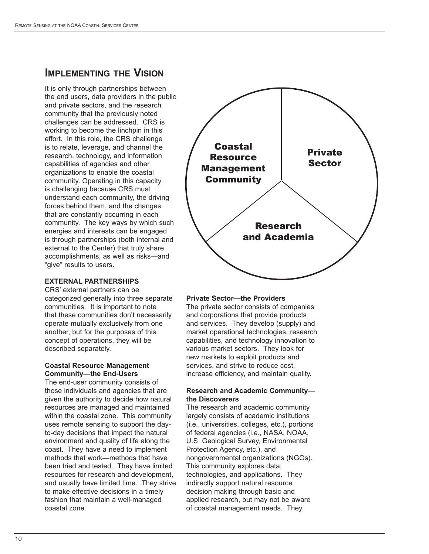### **IMPLEMENTING THE VISION**

It is only through partnerships between the end users, data providers in the public and private sectors, and the research community that the previously noted challenges can be addressed. CRS is working to become the linchpin in this effort. In this role, the CRS challenge is to relate, leverage, and channel the research, technology, and information capabilities of agencies and other organizations to enable the coastal community. Operating in this capacity is challenging because CRS must understand each community, the driving forces behind them, and the changes that are constantly occurring in each community. The key ways by which such energies and interests can be engaged is through partnerships (both internal and external to the Center) that truly share accomplishments, as well as risks—and "give" results to users.

#### **EXTERNAL PARTNERSHIPS**

CRS' external partners can be categorized generally into three separate communities. It is important to note that these communities don't necessarily operate mutually exclusively from one another, but for the purposes of this concept of operations, they will be described separately.

#### **Coastal Resource Management Community—the End-Users**

The end-user community consists of those individuals and agencies that are given the authority to decide how natural resources are managed and maintained within the coastal zone. This community uses remote sensing to support the dayto-day decisions that impact the natural environment and quality of life along the coast. They have a need to implement methods that work—methods that have been tried and tested. They have limited resources for research and development, and usually have limited time. They strive to make effective decisions in a timely fashion that maintain a well-managed coastal zone.



#### **Private Sector—the Providers**

The private sector consists of companies and corporations that provide products and services. They develop (supply) and market operational technologies, research capabilities, and technology innovation to various market sectors. They look for new markets to exploit products and services, and strive to reduce cost, increase efficiency, and maintain quality.

#### **Research and Academic Community the Discoverers**

The research and academic community largely consists of academic institutions (i.e., universities, colleges, etc.), portions of federal agencies (i.e., NASA, NOAA, U.S. Geological Survey, Environmental Protection Agency, etc.), and nongovernmental organizations (NGOs). This community explores data, technologies, and applications. They indirectly support natural resource decision making through basic and applied research, but may not be aware of coastal management needs. They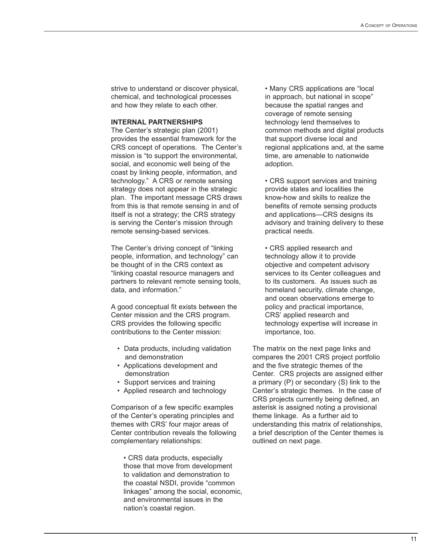strive to understand or discover physical, chemical, and technological processes and how they relate to each other.

#### **INTERNAL PARTNERSHIPS**

The Center's strategic plan (2001) provides the essential framework for the CRS concept of operations. The Center's mission is "to support the environmental, social, and economic well being of the coast by linking people, information, and technology." A CRS or remote sensing strategy does not appear in the strategic plan. The important message CRS draws from this is that remote sensing in and of itself is not a strategy; the CRS strategy is serving the Center's mission through remote sensing-based services.

The Center's driving concept of "linking people, information, and technology" can be thought of in the CRS context as "linking coastal resource managers and partners to relevant remote sensing tools, data, and information."

A good conceptual fit exists between the Center mission and the CRS program. CRS provides the following specific contributions to the Center mission:

- Data products, including validation and demonstration
- Applications development and demonstration
- Support services and training
- Applied research and technology

Comparison of a few specific examples of the Center's operating principles and themes with CRS' four major areas of Center contribution reveals the following complementary relationships:

• CRS data products, especially those that move from development to validation and demonstration to the coastal NSDI, provide "common linkages" among the social, economic, and environmental issues in the nation's coastal region.

• Many CRS applications are "local in approach, but national in scope" because the spatial ranges and coverage of remote sensing technology lend themselves to common methods and digital products that support diverse local and regional applications and, at the same time, are amenable to nationwide adoption.

• CRS support services and training provide states and localities the know-how and skills to realize the benefits of remote sensing products and applications—CRS designs its advisory and training delivery to these practical needs.

• CRS applied research and technology allow it to provide objective and competent advisory services to its Center colleagues and to its customers. As issues such as homeland security, climate change. and ocean observations emerge to policy and practical importance, CRS' applied research and technology expertise will increase in importance, too.

The matrix on the next page links and compares the 2001 CRS project portfolio and the five strategic themes of the Center. CRS projects are assigned either a primary (P) or secondary (S) link to the Center's strategic themes. In the case of CRS projects currently being defined, an asterisk is assigned noting a provisional theme linkage. As a further aid to understanding this matrix of relationships, a brief description of the Center themes is outlined on next page.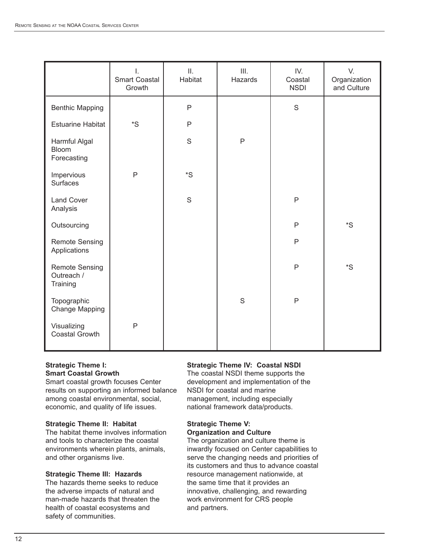|                                                 | I.<br><b>Smart Coastal</b><br>Growth | II.<br>Habitat | III.<br>Hazards | IV.<br>Coastal<br><b>NSDI</b> | V.<br>Organization<br>and Culture |
|-------------------------------------------------|--------------------------------------|----------------|-----------------|-------------------------------|-----------------------------------|
| <b>Benthic Mapping</b>                          |                                      | $\mathsf{P}$   |                 | S                             |                                   |
| <b>Estuarine Habitat</b>                        | ${}^*S$                              | $\mathsf{P}$   |                 |                               |                                   |
| Harmful Algal<br><b>Bloom</b><br>Forecasting    |                                      | $\mathbf S$    | $\mathsf{P}$    |                               |                                   |
| Impervious<br>Surfaces                          | $\mathsf{P}$                         | ${}^*S$        |                 |                               |                                   |
| <b>Land Cover</b><br>Analysis                   |                                      | $\mathsf S$    |                 | $\mathsf{P}$                  |                                   |
| Outsourcing                                     |                                      |                |                 | $\mathsf{P}$                  | ${}^*S$                           |
| <b>Remote Sensing</b><br>Applications           |                                      |                |                 | $\mathsf{P}$                  |                                   |
| <b>Remote Sensing</b><br>Outreach /<br>Training |                                      |                |                 | $\mathsf{P}$                  | ${}^*S$                           |
| Topographic<br>Change Mapping                   |                                      |                | S               | $\mathsf{P}$                  |                                   |
| Visualizing<br>Coastal Growth                   | $\mathsf{P}$                         |                |                 |                               |                                   |

#### **Strategic Theme I: Smart Coastal Growth**

Smart coastal growth focuses Center results on supporting an informed balance among coastal environmental, social, economic, and quality of life issues.

#### **Strategic Theme II: Habitat**

The habitat theme involves information and tools to characterize the coastal environments wherein plants, animals, and other organisms live.

#### **Strategic Theme III: Hazards**

The hazards theme seeks to reduce the adverse impacts of natural and man-made hazards that threaten the health of coastal ecosystems and safety of communities.

#### **Strategic Theme IV: Coastal NSDI**

The coastal NSDI theme supports the development and implementation of the NSDI for coastal and marine management, including especially national framework data/products.

#### **Strategic Theme V: Organization and Culture**

The organization and culture theme is inwardly focused on Center capabilities to serve the changing needs and priorities of its customers and thus to advance coastal resource management nationwide, at the same time that it provides an innovative, challenging, and rewarding work environment for CRS people and partners.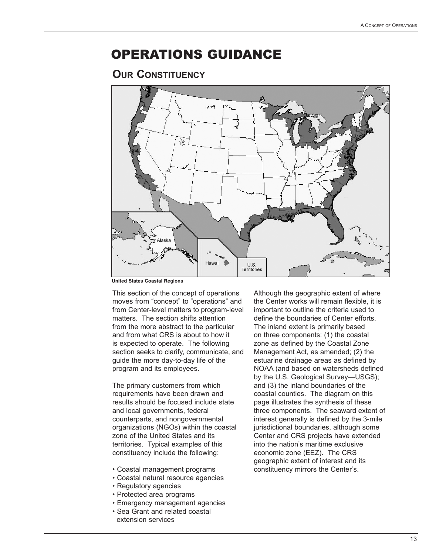## OPERATIONS GUIDANCE

### **OUR CONSTITUENCY**



**United States Coastal Regions**

This section of the concept of operations moves from "concept" to "operations" and from Center-level matters to program-level matters. The section shifts attention from the more abstract to the particular and from what CRS is about to how it is expected to operate. The following section seeks to clarify, communicate, and guide the more day-to-day life of the program and its employees.

The primary customers from which requirements have been drawn and results should be focused include state and local governments, federal counterparts, and nongovernmental organizations (NGOs) within the coastal zone of the United States and its territories. Typical examples of this constituency include the following:

- Coastal management programs
- Coastal natural resource agencies
- Regulatory agencies
- Protected area programs
- Emergency management agencies
- Sea Grant and related coastal extension services

Although the geographic extent of where the Center works will remain flexible, it is important to outline the criteria used to define the boundaries of Center efforts. The inland extent is primarily based on three components: (1) the coastal zone as defined by the Coastal Zone Management Act, as amended; (2) the estuarine drainage areas as defined by NOAA (and based on watersheds defined by the U.S. Geological Survey—USGS); and (3) the inland boundaries of the coastal counties. The diagram on this page illustrates the synthesis of these three components. The seaward extent of interest generally is defined by the 3-mile jurisdictional boundaries, although some Center and CRS projects have extended into the nation's maritime exclusive economic zone (EEZ). The CRS geographic extent of interest and its constituency mirrors the Center's.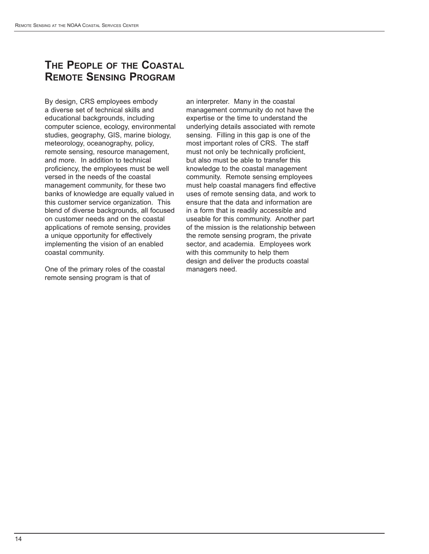## **THE PEOPLE OF THE COASTAL REMOTE SENSING PROGRAM**

By design, CRS employees embody a diverse set of technical skills and educational backgrounds, including computer science, ecology, environmental studies, geography, GIS, marine biology, meteorology, oceanography, policy, remote sensing, resource management, and more. In addition to technical proficiency, the employees must be well versed in the needs of the coastal management community, for these two banks of knowledge are equally valued in this customer service organization. This blend of diverse backgrounds, all focused on customer needs and on the coastal applications of remote sensing, provides a unique opportunity for effectively implementing the vision of an enabled coastal community.

One of the primary roles of the coastal remote sensing program is that of

an interpreter. Many in the coastal management community do not have the expertise or the time to understand the underlying details associated with remote sensing. Filling in this gap is one of the most important roles of CRS. The staff must not only be technically proficient, but also must be able to transfer this knowledge to the coastal management community. Remote sensing employees must help coastal managers find effective uses of remote sensing data, and work to ensure that the data and information are in a form that is readily accessible and useable for this community. Another part of the mission is the relationship between the remote sensing program, the private sector, and academia. Employees work with this community to help them design and deliver the products coastal managers need.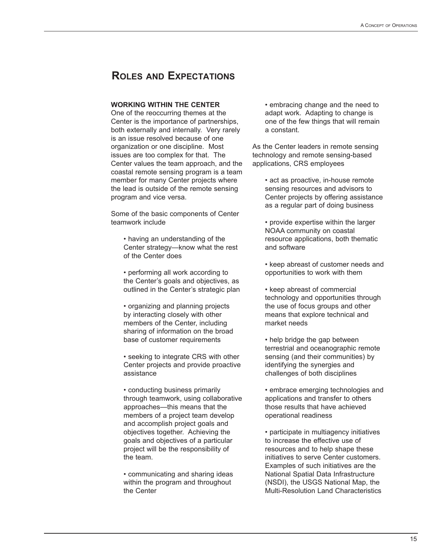## **ROLES AND EXPECTATIONS**

#### **WORKING WITHIN THE CENTER**

One of the reoccurring themes at the Center is the importance of partnerships, both externally and internally. Very rarely is an issue resolved because of one organization or one discipline. Most issues are too complex for that. The Center values the team approach, and the coastal remote sensing program is a team member for many Center projects where the lead is outside of the remote sensing program and vice versa.

Some of the basic components of Center teamwork include

• having an understanding of the Center strategy—know what the rest of the Center does

• performing all work according to the Center's goals and objectives, as outlined in the Center's strategic plan

• organizing and planning projects by interacting closely with other members of the Center, including sharing of information on the broad base of customer requirements

• seeking to integrate CRS with other Center projects and provide proactive assistance

• conducting business primarily through teamwork, using collaborative approaches—this means that the members of a project team develop and accomplish project goals and objectives together. Achieving the goals and objectives of a particular project will be the responsibility of the team.

• communicating and sharing ideas within the program and throughout the Center

• embracing change and the need to adapt work. Adapting to change is one of the few things that will remain a constant.

As the Center leaders in remote sensing technology and remote sensing-based applications, CRS employees

• act as proactive, in-house remote sensing resources and advisors to Center projects by offering assistance as a regular part of doing business

• provide expertise within the larger NOAA community on coastal resource applications, both thematic and software

• keep abreast of customer needs and opportunities to work with them

• keep abreast of commercial technology and opportunities through the use of focus groups and other means that explore technical and market needs

• help bridge the gap between terrestrial and oceanographic remote sensing (and their communities) by identifying the synergies and challenges of both disciplines

• embrace emerging technologies and applications and transfer to others those results that have achieved operational readiness

• participate in multiagency initiatives to increase the effective use of resources and to help shape these initiatives to serve Center customers. Examples of such initiatives are the National Spatial Data Infrastructure (NSDI), the USGS National Map, the Multi-Resolution Land Characteristics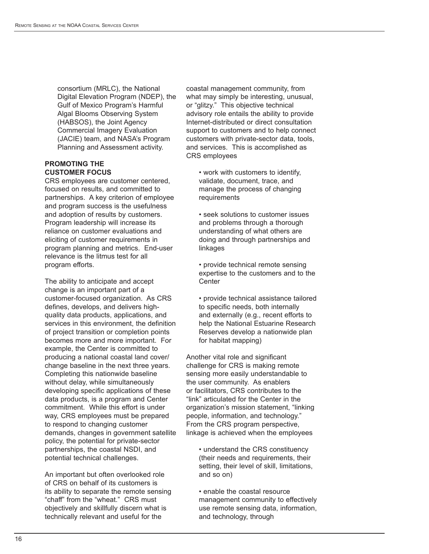consortium (MRLC), the National Digital Elevation Program (NDEP), the Gulf of Mexico Program's Harmful Algal Blooms Observing System (HABSOS), the Joint Agency Commercial Imagery Evaluation (JACIE) team, and NASA's Program Planning and Assessment activity.

#### **PROMOTING THE CUSTOMER FOCUS**

CRS employees are customer centered, focused on results, and committed to partnerships. A key criterion of employee and program success is the usefulness and adoption of results by customers. Program leadership will increase its reliance on customer evaluations and eliciting of customer requirements in program planning and metrics. End-user relevance is the litmus test for all program efforts.

The ability to anticipate and accept change is an important part of a customer-focused organization. As CRS defines, develops, and delivers highquality data products, applications, and services in this environment, the definition of project transition or completion points becomes more and more important. For example, the Center is committed to producing a national coastal land cover/ change baseline in the next three years. Completing this nationwide baseline without delay, while simultaneously developing specific applications of these data products, is a program and Center commitment. While this effort is under way, CRS employees must be prepared to respond to changing customer demands, changes in government satellite policy, the potential for private-sector partnerships, the coastal NSDI, and potential technical challenges.

An important but often overlooked role of CRS on behalf of its customers is its ability to separate the remote sensing "chaff" from the "wheat." CRS must objectively and skillfully discern what is technically relevant and useful for the

coastal management community, from what may simply be interesting, unusual, or "glitzy." This objective technical advisory role entails the ability to provide Internet-distributed or direct consultation support to customers and to help connect customers with private-sector data, tools, and services. This is accomplished as CRS employees

• work with customers to identify, validate, document, trace, and manage the process of changing **requirements** 

• seek solutions to customer issues and problems through a thorough understanding of what others are doing and through partnerships and linkages

• provide technical remote sensing expertise to the customers and to the **Center** 

• provide technical assistance tailored to specific needs, both internally and externally (e.g., recent efforts to help the National Estuarine Research Reserves develop a nationwide plan for habitat mapping)

Another vital role and significant challenge for CRS is making remote sensing more easily understandable to the user community. As enablers or facilitators, CRS contributes to the "link" articulated for the Center in the organization's mission statement, "linking people, information, and technology." From the CRS program perspective, linkage is achieved when the employees

• understand the CRS constituency (their needs and requirements, their setting, their level of skill, limitations, and so on)

• enable the coastal resource management community to effectively use remote sensing data, information, and technology, through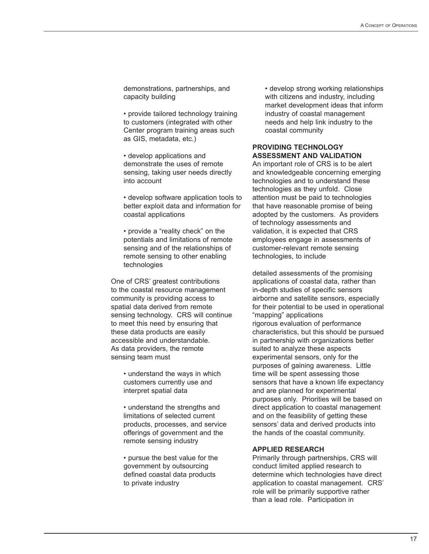demonstrations, partnerships, and capacity building

• provide tailored technology training to customers (integrated with other Center program training areas such as GIS, metadata, etc.)

• develop applications and demonstrate the uses of remote sensing, taking user needs directly into account

• develop software application tools to better exploit data and information for coastal applications

• provide a "reality check" on the potentials and limitations of remote sensing and of the relationships of remote sensing to other enabling technologies

One of CRS' greatest contributions to the coastal resource management community is providing access to spatial data derived from remote sensing technology. CRS will continue to meet this need by ensuring that these data products are easily accessible and understandable. As data providers, the remote sensing team must

> • understand the ways in which customers currently use and interpret spatial data

• understand the strengths and limitations of selected current products, processes, and service offerings of government and the remote sensing industry

• pursue the best value for the government by outsourcing defined coastal data products to private industry

• develop strong working relationships with citizens and industry, including market development ideas that inform industry of coastal management needs and help link industry to the coastal community

#### **PROVIDING TECHNOLOGY ASSESSMENT AND VALIDATION**

An important role of CRS is to be alert and knowledgeable concerning emerging technologies and to understand these technologies as they unfold. Close attention must be paid to technologies that have reasonable promise of being adopted by the customers. As providers of technology assessments and validation, it is expected that CRS employees engage in assessments of customer-relevant remote sensing technologies, to include

detailed assessments of the promising applications of coastal data, rather than in-depth studies of specific sensors airborne and satellite sensors, especially for their potential to be used in operational "mapping" applications rigorous evaluation of performance characteristics, but this should be pursued in partnership with organizations better suited to analyze these aspects experimental sensors, only for the purposes of gaining awareness. Little time will be spent assessing those sensors that have a known life expectancy and are planned for experimental purposes only. Priorities will be based on direct application to coastal management and on the feasibility of getting these sensors' data and derived products into the hands of the coastal community.

#### **APPLIED RESEARCH**

Primarily through partnerships, CRS will conduct limited applied research to determine which technologies have direct application to coastal management. CRS' role will be primarily supportive rather than a lead role. Participation in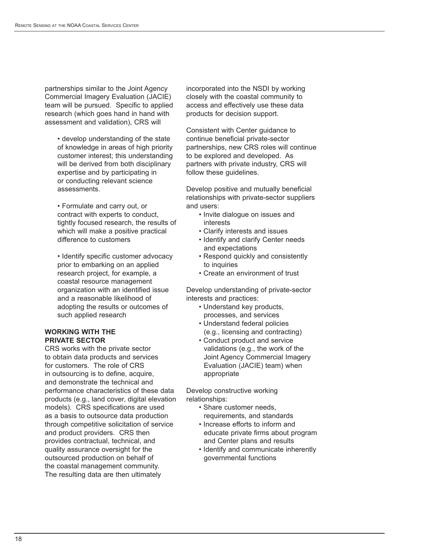partnerships similar to the Joint Agency Commercial Imagery Evaluation (JACIE) team will be pursued. Specific to applied research (which goes hand in hand with assessment and validation), CRS will

• develop understanding of the state of knowledge in areas of high priority customer interest; this understanding will be derived from both disciplinary expertise and by participating in or conducting relevant science assessments.

• Formulate and carry out, or contract with experts to conduct, tightly focused research, the results of which will make a positive practical difference to customers

• Identify specific customer advocacy prior to embarking on an applied research project, for example, a coastal resource management organization with an identified issue and a reasonable likelihood of adopting the results or outcomes of such applied research

#### **WORKING WITH THE PRIVATE SECTOR**

CRS works with the private sector to obtain data products and services for customers. The role of CRS in outsourcing is to define, acquire, and demonstrate the technical and performance characteristics of these data products (e.g., land cover, digital elevation models). CRS specifications are used as a basis to outsource data production through competitive solicitation of service and product providers. CRS then provides contractual, technical, and quality assurance oversight for the outsourced production on behalf of the coastal management community. The resulting data are then ultimately

incorporated into the NSDI by working closely with the coastal community to access and effectively use these data products for decision support.

Consistent with Center guidance to continue beneficial private-sector partnerships, new CRS roles will continue to be explored and developed. As partners with private industry, CRS will follow these guidelines.

Develop positive and mutually beneficial relationships with private-sector suppliers and users:

- Invite dialogue on issues and interests
- Clarify interests and issues
- Identify and clarify Center needs and expectations
- Respond quickly and consistently to inquiries
- Create an environment of trust

Develop understanding of private-sector interests and practices:

- Understand key products, processes, and services
- Understand federal policies (e.g., licensing and contracting)
- Conduct product and service validations (e.g., the work of the Joint Agency Commercial Imagery Evaluation (JACIE) team) when appropriate

Develop constructive working relationships:

- Share customer needs, requirements, and standards
- Increase efforts to inform and educate private firms about program and Center plans and results
- Identify and communicate inherently governmental functions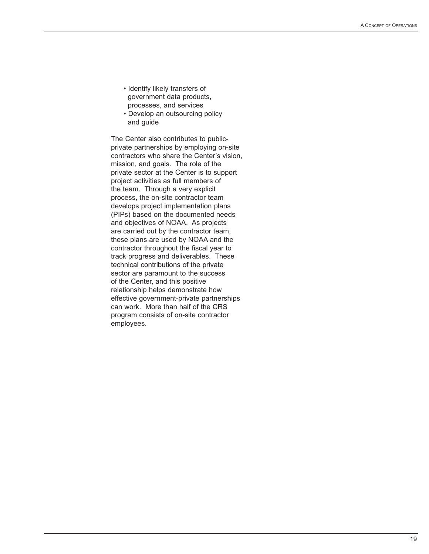- Identify likely transfers of government data products, processes, and services
- Develop an outsourcing policy and guide

The Center also contributes to publicprivate partnerships by employing on-site contractors who share the Center's vision, mission, and goals. The role of the private sector at the Center is to support project activities as full members of the team. Through a very explicit process, the on-site contractor team develops project implementation plans (PIPs) based on the documented needs and objectives of NOAA. As projects are carried out by the contractor team, these plans are used by NOAA and the contractor throughout the fiscal year to track progress and deliverables. These technical contributions of the private sector are paramount to the success of the Center, and this positive relationship helps demonstrate how effective government-private partnerships can work. More than half of the CRS program consists of on-site contractor employees.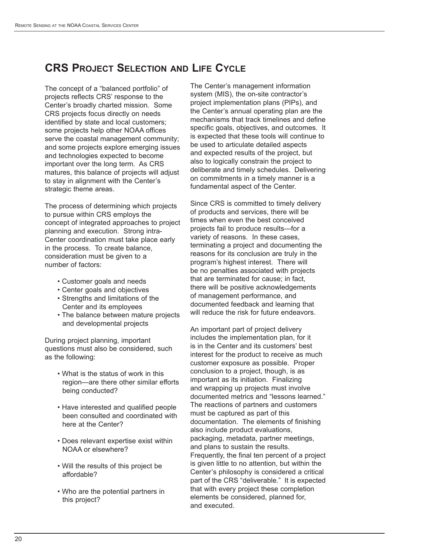## **CRS PROJECT SELECTION AND LIFE CYCLE**

The concept of a "balanced portfolio" of projects reflects CRS' response to the Center's broadly charted mission. Some CRS projects focus directly on needs identified by state and local customers; some projects help other NOAA offices serve the coastal management community; and some projects explore emerging issues and technologies expected to become important over the long term. As CRS matures, this balance of projects will adjust to stay in alignment with the Center's strategic theme areas.

The process of determining which projects to pursue within CRS employs the concept of integrated approaches to project planning and execution. Strong intra-Center coordination must take place early in the process. To create balance, consideration must be given to a number of factors:

- Customer goals and needs
- Center goals and objectives
- Strengths and limitations of the Center and its employees
- The balance between mature projects and developmental projects

During project planning, important questions must also be considered, such as the following:

- What is the status of work in this region—are there other similar efforts being conducted?
- Have interested and qualified people been consulted and coordinated with here at the Center?
- Does relevant expertise exist within NOAA or elsewhere?
- Will the results of this project be affordable?
- Who are the potential partners in this project?

The Center's management information system (MIS), the on-site contractor's project implementation plans (PIPs), and the Center's annual operating plan are the mechanisms that track timelines and define specific goals, objectives, and outcomes. It is expected that these tools will continue to be used to articulate detailed aspects and expected results of the project, but also to logically constrain the project to deliberate and timely schedules. Delivering on commitments in a timely manner is a fundamental aspect of the Center.

Since CRS is committed to timely delivery of products and services, there will be times when even the best conceived projects fail to produce results—for a variety of reasons. In these cases, terminating a project and documenting the reasons for its conclusion are truly in the program's highest interest. There will be no penalties associated with projects that are terminated for cause; in fact, there will be positive acknowledgements of management performance, and documented feedback and learning that will reduce the risk for future endeavors.

An important part of project delivery includes the implementation plan, for it is in the Center and its customers' best interest for the product to receive as much customer exposure as possible. Proper conclusion to a project, though, is as important as its initiation. Finalizing and wrapping up projects must involve documented metrics and "lessons learned." The reactions of partners and customers must be captured as part of this documentation. The elements of finishing also include product evaluations, packaging, metadata, partner meetings, and plans to sustain the results. Frequently, the final ten percent of a project is given little to no attention, but within the Center's philosophy is considered a critical part of the CRS "deliverable." It is expected that with every project these completion elements be considered, planned for, and executed.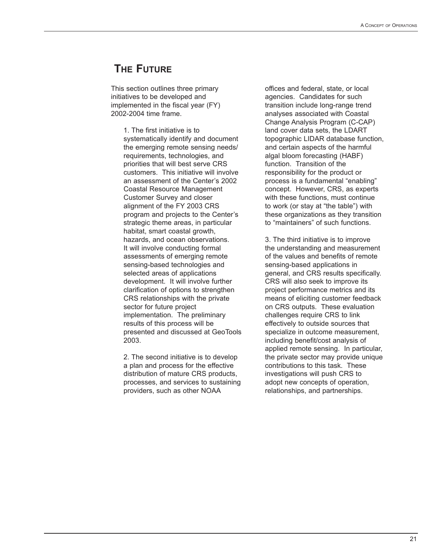## **THE FUTURE**

This section outlines three primary initiatives to be developed and implemented in the fiscal year (FY) 2002-2004 time frame.

> 1. The first initiative is to systematically identify and document the emerging remote sensing needs/ requirements, technologies, and priorities that will best serve CRS customers. This initiative will involve an assessment of the Center's 2002 Coastal Resource Management Customer Survey and closer alignment of the FY 2003 CRS program and projects to the Center's strategic theme areas, in particular habitat, smart coastal growth, hazards, and ocean observations. It will involve conducting formal assessments of emerging remote sensing-based technologies and selected areas of applications development. It will involve further clarification of options to strengthen CRS relationships with the private sector for future project implementation. The preliminary results of this process will be presented and discussed at GeoTools 2003.

2. The second initiative is to develop a plan and process for the effective distribution of mature CRS products, processes, and services to sustaining providers, such as other NOAA

offices and federal, state, or local agencies. Candidates for such transition include long-range trend analyses associated with Coastal Change Analysis Program (C-CAP) land cover data sets, the LDART topographic LIDAR database function, and certain aspects of the harmful algal bloom forecasting (HABF) function. Transition of the responsibility for the product or process is a fundamental "enabling" concept. However, CRS, as experts with these functions, must continue to work (or stay at "the table") with these organizations as they transition to "maintainers" of such functions.

3. The third initiative is to improve the understanding and measurement of the values and benefits of remote sensing-based applications in general, and CRS results specifically. CRS will also seek to improve its project performance metrics and its means of eliciting customer feedback on CRS outputs. These evaluation challenges require CRS to link effectively to outside sources that specialize in outcome measurement, including benefit/cost analysis of applied remote sensing. In particular, the private sector may provide unique contributions to this task. These investigations will push CRS to adopt new concepts of operation, relationships, and partnerships.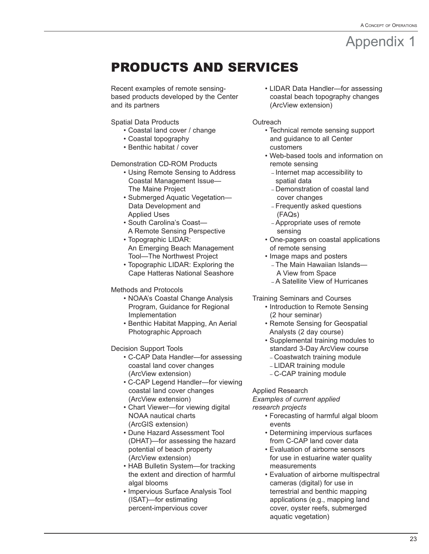# PRODUCTS AND SERVICES

Recent examples of remote sensingbased products developed by the Center and its partners

Spatial Data Products

- Coastal land cover / change
- Coastal topography
- Benthic habitat / cover

#### Demonstration CD-ROM Products

- Using Remote Sensing to Address Coastal Management Issue— The Maine Project
- Submerged Aquatic Vegetation— Data Development and Applied Uses
- South Carolina's Coast— A Remote Sensing Perspective
- Topographic LIDAR: An Emerging Beach Management Tool—The Northwest Project
- Topographic LIDAR: Exploring the Cape Hatteras National Seashore

#### Methods and Protocols

- NOAA's Coastal Change Analysis Program, Guidance for Regional Implementation
- Benthic Habitat Mapping, An Aerial Photographic Approach

Decision Support Tools

- C-CAP Data Handler—for assessing coastal land cover changes (ArcView extension)
- C-CAP Legend Handler—for viewing coastal land cover changes (ArcView extension)
- Chart Viewer—for viewing digital NOAA nautical charts (ArcGIS extension)
- Dune Hazard Assessment Tool (DHAT)—for assessing the hazard potential of beach property (ArcView extension)
- HAB Bulletin System—for tracking the extent and direction of harmful algal blooms
- Impervious Surface Analysis Tool (ISAT)—for estimating percent-impervious cover

• LIDAR Data Handler—for assessing coastal beach topography changes (ArcView extension)

**Outreach** 

- Technical remote sensing support and guidance to all Center customers
- Web-based tools and information on remote sensing
	- Internet map accessibility to spatial data
	- Demonstration of coastal land cover changes
	- Frequently asked questions (FAQs)
	- Appropriate uses of remote sensing
- One-pagers on coastal applications of remote sensing
- Image maps and posters – The Main Hawaiian Islands— A View from Space
	- A Satellite View of Hurricanes

Training Seminars and Courses

- Introduction to Remote Sensing (2 hour seminar)
- Remote Sensing for Geospatial Analysts (2 day course)
- Supplemental training modules to standard 3-Day ArcView course
	- Coastwatch training module
	- LIDAR training module
	- C-CAP training module

Applied Research

*Examples of current applied research projects*

- Forecasting of harmful algal bloom events
- Determining impervious surfaces from C-CAP land cover data
- Evaluation of airborne sensors for use in estuarine water quality measurements
- Evaluation of airborne multispectral cameras (digital) for use in terrestrial and benthic mapping applications (e.g., mapping land cover, oyster reefs, submerged aquatic vegetation)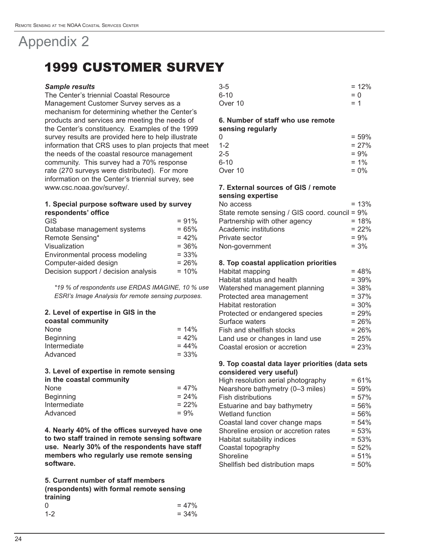# 1999 CUSTOMER SURVEY

#### *Sample results*

The Center's triennial Coastal Resource Management Customer Survey serves as a mechanism for determining whether the Center's products and services are meeting the needs of the Center's constituency. Examples of the 1999 survey results are provided here to help illustrate information that CRS uses to plan projects that meet the needs of the coastal resource management community. This survey had a 70% response rate (270 surveys were distributed). For more information on the Center's triennial survey, see www.csc.noaa.gov/survey/.

#### **1. Special purpose software used by survey respondents' office**

| <b>GIS</b>                           | $= 91%$  |
|--------------------------------------|----------|
| Database management systems          | $= 65%$  |
| Remote Sensing*                      | $= 42%$  |
| Visualization                        | $= 36\%$ |
| Environmental process modeling       | $= 33%$  |
| Computer-aided design                | $= 26%$  |
| Decision support / decision analysis | $= 10%$  |
|                                      |          |

*\*19 % of respondents use ERDAS IMAGINE, 10 % use ESRI's Image Analysis for remote sensing purposes.*

#### **2. Level of expertise in GIS in the**

| coastal community |          |
|-------------------|----------|
| <b>None</b>       | $= 14\%$ |
| <b>Beginning</b>  | $= 42%$  |
| Intermediate      | $= 44\%$ |
| Advanced          | $= 33\%$ |

### **3. Level of expertise in remote sensing in the coastal community**

| $= 47%$  |
|----------|
| $= 24\%$ |
| $= 22%$  |
| $= 9\%$  |
|          |

**4. Nearly 40% of the offices surveyed have one to two staff trained in remote sensing software use. Nearly 30% of the respondents have staff members who regularly use remote sensing software.**

**5. Current number of staff members (respondents) with formal remote sensing training** 0  $= 47\%$  $1-2$  = 34%

| $3 - 5$  | $= 12%$ |
|----------|---------|
| $6 - 10$ | $= 0$   |
| Over 10  | $= 1$   |

#### **6. Number of staff who use remote sensing regularly**

| 0       | $= 59\%$ |
|---------|----------|
| $1 - 2$ | $= 27\%$ |
| 2-5     | $= 9\%$  |
| 6-10    | $= 1\%$  |
| Over 10 | $= 0\%$  |
|         |          |

### **7. External sources of GIS / remote**

| sensing expertise                              |         |
|------------------------------------------------|---------|
| No access                                      | $= 13%$ |
| State remote sensing / GIS coord. council = 9% |         |
| Partnership with other agency                  | $= 18%$ |
| Academic institutions                          | $= 22%$ |
| Private sector                                 | $= 9\%$ |
| Non-government                                 | $= 3\%$ |
|                                                |         |

#### **8. Top coastal application priorities**

| Habitat mapping                 | $= 48%$ |
|---------------------------------|---------|
| Habitat status and health       | $= 39%$ |
| Watershed management planning   | $= 38%$ |
| Protected area management       | $= 37%$ |
| <b>Habitat restoration</b>      | $= 30%$ |
| Protected or endangered species | $= 29%$ |
| Surface waters                  | $= 26%$ |
| Fish and shellfish stocks       | $= 26%$ |
| Land use or changes in land use | $= 25%$ |
| Coastal erosion or accretion    | $= 23%$ |

#### **9. Top coastal data layer priorities (data sets considered very useful)**

| High resolution aerial photography   | $= 61%$ |
|--------------------------------------|---------|
| Nearshore bathymetry (0-3 miles)     | $= 59%$ |
| <b>Fish distributions</b>            | $= 57%$ |
| Estuarine and bay bathymetry         | $= 56%$ |
| Wetland function                     | $= 56%$ |
| Coastal land cover change maps       | $= 54%$ |
| Shoreline erosion or accretion rates | $= 53%$ |
| Habitat suitability indices          | $= 53%$ |
| Coastal topography                   | $= 52%$ |
| Shoreline                            | $= 51%$ |
| Shellfish bed distribution maps      | $= 50%$ |
|                                      |         |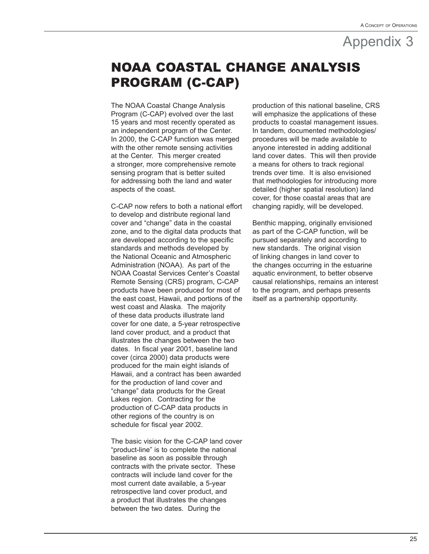# NOAA COASTAL CHANGE ANALYSIS PROGRAM (C-CAP)

The NOAA Coastal Change Analysis Program (C-CAP) evolved over the last 15 years and most recently operated as an independent program of the Center. In 2000, the C-CAP function was merged with the other remote sensing activities at the Center. This merger created a stronger, more comprehensive remote sensing program that is better suited for addressing both the land and water aspects of the coast.

C-CAP now refers to both a national effort to develop and distribute regional land cover and "change" data in the coastal zone, and to the digital data products that are developed according to the specific standards and methods developed by the National Oceanic and Atmospheric Administration (NOAA). As part of the NOAA Coastal Services Center's Coastal Remote Sensing (CRS) program, C-CAP products have been produced for most of the east coast, Hawaii, and portions of the west coast and Alaska. The majority of these data products illustrate land cover for one date, a 5-year retrospective land cover product, and a product that illustrates the changes between the two dates. In fiscal year 2001, baseline land cover (circa 2000) data products were produced for the main eight islands of Hawaii, and a contract has been awarded for the production of land cover and "change" data products for the Great Lakes region. Contracting for the production of C-CAP data products in other regions of the country is on schedule for fiscal year 2002.

The basic vision for the C-CAP land cover "product-line" is to complete the national baseline as soon as possible through contracts with the private sector. These contracts will include land cover for the most current date available, a 5-year retrospective land cover product, and a product that illustrates the changes between the two dates. During the

production of this national baseline, CRS will emphasize the applications of these products to coastal management issues. In tandem, documented methodologies/ procedures will be made available to anyone interested in adding additional land cover dates. This will then provide a means for others to track regional trends over time. It is also envisioned that methodologies for introducing more detailed (higher spatial resolution) land cover, for those coastal areas that are changing rapidly, will be developed.

Benthic mapping, originally envisioned as part of the C-CAP function, will be pursued separately and according to new standards. The original vision of linking changes in land cover to the changes occurring in the estuarine aquatic environment, to better observe causal relationships, remains an interest to the program, and perhaps presents itself as a partnership opportunity.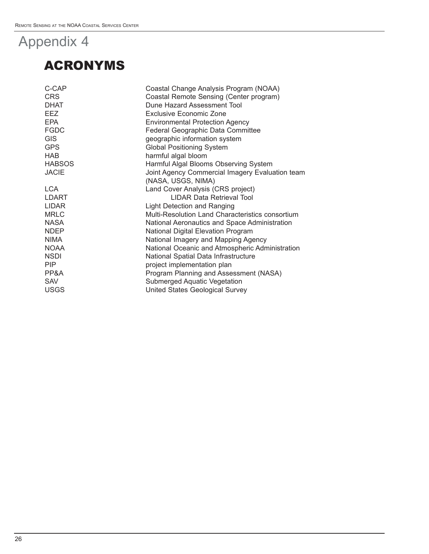# ACRONYMS

| Coastal Change Analysis Program (NOAA)           |
|--------------------------------------------------|
| Coastal Remote Sensing (Center program)          |
| Dune Hazard Assessment Tool                      |
| Exclusive Economic Zone                          |
| <b>Environmental Protection Agency</b>           |
| Federal Geographic Data Committee                |
| geographic information system                    |
| <b>Global Positioning System</b>                 |
| harmful algal bloom                              |
| Harmful Algal Blooms Observing System            |
| Joint Agency Commercial Imagery Evaluation team  |
| (NASA, USGS, NIMA)                               |
| Land Cover Analysis (CRS project)                |
| <b>LIDAR Data Retrieval Tool</b>                 |
| Light Detection and Ranging                      |
| Multi-Resolution Land Characteristics consortium |
| National Aeronautics and Space Administration    |
| National Digital Elevation Program               |
| National Imagery and Mapping Agency              |
| National Oceanic and Atmospheric Administration  |
| National Spatial Data Infrastructure             |
| project implementation plan                      |
| Program Planning and Assessment (NASA)           |
| <b>Submerged Aquatic Vegetation</b>              |
| United States Geological Survey                  |
|                                                  |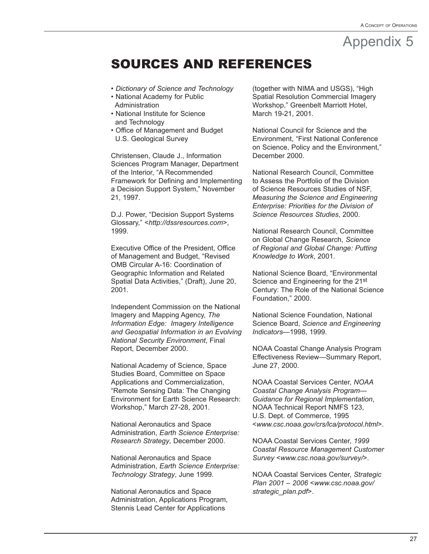## SOURCES AND REFERENCES

- *Dictionary of Science and Technology*
- National Academy for Public **Administration**
- National Institute for Science and Technology
- Office of Management and Budget U.S. Geological Survey

Christensen, Claude J., Information Sciences Program Manager, Department of the Interior, "A Recommended Framework for Defining and Implementing a Decision Support System," November 21, 1997.

D.J. Power, "Decision Support Systems Glossary," <*http://dssresources.com*>, 1999.

Executive Office of the President, Office of Management and Budget, "Revised OMB Circular A-16: Coordination of Geographic Information and Related Spatial Data Activities," (Draft), June 20, 2001.

Independent Commission on the National Imagery and Mapping Agency, *The Information Edge: Imagery Intelligence and Geospatial Information in an Evolving National Security Environment*, Final Report, December 2000.

National Academy of Science, Space Studies Board, Committee on Space Applications and Commercialization, "Remote Sensing Data: The Changing Environment for Earth Science Research: Workshop," March 27-28, 2001.

National Aeronautics and Space Administration, *Earth Science Enterprise: Research Strategy*, December 2000.

National Aeronautics and Space Administration, *Earth Science Enterprise: Technology Strategy*, June 1999.

National Aeronautics and Space Administration, Applications Program, Stennis Lead Center for Applications

(together with NIMA and USGS), "High Spatial Resolution Commercial Imagery Workshop," Greenbelt Marriott Hotel, March 19-21, 2001.

National Council for Science and the Environment, "First National Conference on Science, Policy and the Environment," December 2000.

National Research Council, Committee to Assess the Portfolio of the Division of Science Resources Studies of NSF, *Measuring the Science and Engineering Enterprise: Priorities for the Division of Science Resources Studies*, 2000.

National Research Council, Committee on Global Change Research, *Science of Regional and Global Change: Putting Knowledge to Work*, 2001.

National Science Board, "Environmental Science and Engineering for the 21st Century: The Role of the National Science Foundation," 2000.

National Science Foundation, National Science Board, *Science and Engineering Indicators*—1998, 1999.

NOAA Coastal Change Analysis Program Effectiveness Review—Summary Report, June 27, 2000.

NOAA Coastal Services Center, *NOAA Coastal Change Analysis Program— Guidance for Regional Implementation*, NOAA Technical Report NMFS 123, U.S. Dept. of Commerce, 1995 <*www.csc.noaa.gov/crs/lca/protocol.html*>.

NOAA Coastal Services Center, *1999 Coastal Resource Management Customer Survey* <*www.csc.noaa.gov/survey/*>.

NOAA Coastal Services Center, *Strategic Plan 2001 – 2006* <*www.csc.noaa.gov/ strategic\_plan.pdf*>.